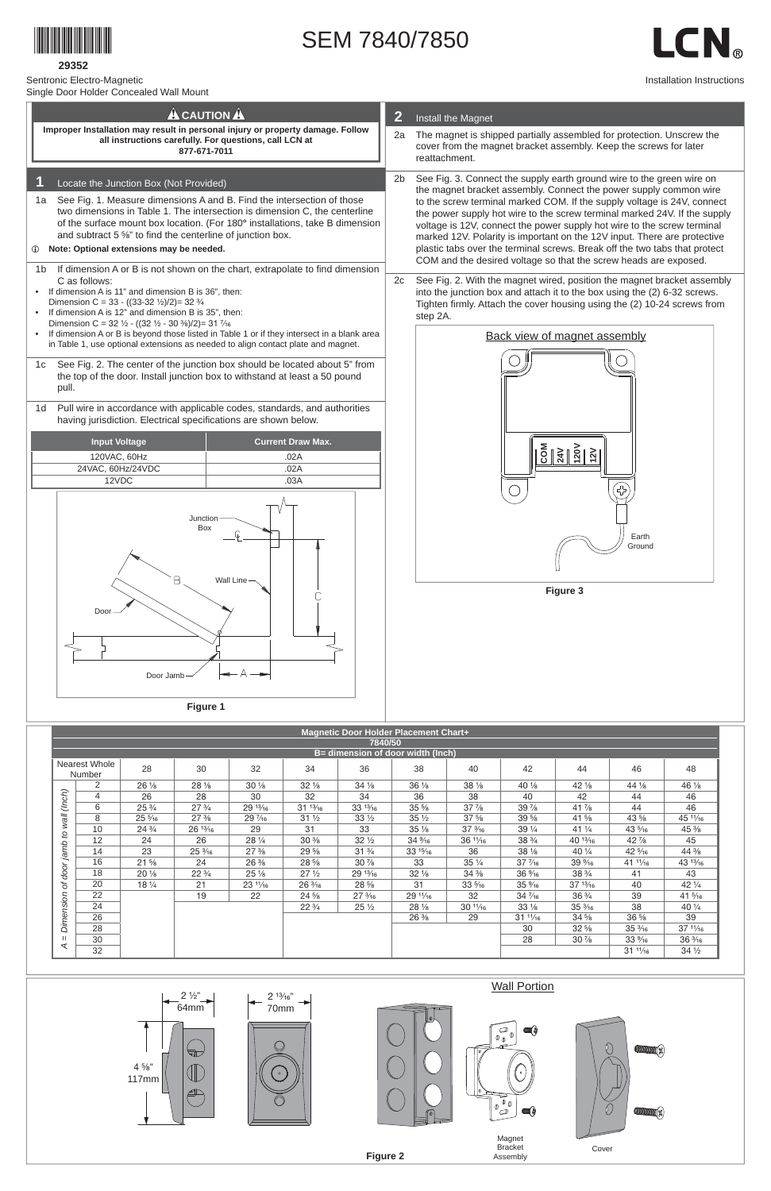

**29352**

Sentronic Electro-Magnetic

Single Door Holder Concealed Wall Mount

## SEM 7840/7850

LCN<sub>®</sub>

Installation Instructions

| onigio Door Holder Ooniocaled Wall Modif                                                                                                                                                                                                                                                                                                                                                                                                                                                                                                                                                                                                                                                                                                                                                                                                                                                                                                                                                                                                                                                                                                                                                                                                                                                   |                                                  |  |                                                                                                                                                                                                                                                                                                                                                                                                                                                                                                                                                                                                                                                                                                                                                                                                                                                                                                    |  |  |  |  |  |
|--------------------------------------------------------------------------------------------------------------------------------------------------------------------------------------------------------------------------------------------------------------------------------------------------------------------------------------------------------------------------------------------------------------------------------------------------------------------------------------------------------------------------------------------------------------------------------------------------------------------------------------------------------------------------------------------------------------------------------------------------------------------------------------------------------------------------------------------------------------------------------------------------------------------------------------------------------------------------------------------------------------------------------------------------------------------------------------------------------------------------------------------------------------------------------------------------------------------------------------------------------------------------------------------|--------------------------------------------------|--|----------------------------------------------------------------------------------------------------------------------------------------------------------------------------------------------------------------------------------------------------------------------------------------------------------------------------------------------------------------------------------------------------------------------------------------------------------------------------------------------------------------------------------------------------------------------------------------------------------------------------------------------------------------------------------------------------------------------------------------------------------------------------------------------------------------------------------------------------------------------------------------------------|--|--|--|--|--|
| <b>A</b> CAUTION A                                                                                                                                                                                                                                                                                                                                                                                                                                                                                                                                                                                                                                                                                                                                                                                                                                                                                                                                                                                                                                                                                                                                                                                                                                                                         |                                                  |  | $\overline{2}$<br>Install the Magnet                                                                                                                                                                                                                                                                                                                                                                                                                                                                                                                                                                                                                                                                                                                                                                                                                                                               |  |  |  |  |  |
| Improper Installation may result in personal injury or property damage. Follow<br>all instructions carefully. For questions, call LCN at<br>877-671-7011                                                                                                                                                                                                                                                                                                                                                                                                                                                                                                                                                                                                                                                                                                                                                                                                                                                                                                                                                                                                                                                                                                                                   |                                                  |  | The magnet is shipped partially assembled for protection. Unscrew the<br>cover from the magnet bracket assembly. Keep the screws for later<br>reattachment.                                                                                                                                                                                                                                                                                                                                                                                                                                                                                                                                                                                                                                                                                                                                        |  |  |  |  |  |
| Locate the Junction Box (Not Provided)<br>See Fig. 1. Measure dimensions A and B. Find the intersection of those<br>1a<br>two dimensions in Table 1. The intersection is dimension C, the centerline<br>of the surface mount box location. (For 180° installations, take B dimension<br>and subtract 5 %" to find the centerline of junction box.<br>Note: Optional extensions may be needed.<br>$\omega$<br>If dimension A or B is not shown on the chart, extrapolate to find dimension<br>1b<br>C as follows:<br>If dimension A is 11" and dimension B is 36", then:<br>$\bullet$<br>Dimension C = 33 - ((33-32 $\frac{1}{2}$ )/2)= 32 $\frac{3}{4}$<br>If dimension A is 12" and dimension B is 35", then:<br>$\bullet$<br>Dimension C = 32 $\frac{1}{2}$ - ((32 $\frac{1}{2}$ - 30 $\frac{3}{8}$ )/2)= 31 $\frac{7}{16}$<br>If dimension A or B is beyond those listed in Table 1 or if they intersect in a blank area<br>$\bullet$<br>in Table 1, use optional extensions as needed to align contact plate and magnet.<br>See Fig. 2. The center of the junction box should be located about 5" from<br>1c<br>the top of the door. Install junction box to withstand at least a 50 pound<br>pull.<br>Pull wire in accordance with applicable codes, standards, and authorities<br>1d |                                                  |  | See Fig. 3. Connect the supply earth ground wire to the green wire on<br>the magnet bracket assembly. Connect the power supply common wire<br>to the screw terminal marked COM. If the supply voltage is 24V, connect<br>the power supply hot wire to the screw terminal marked 24V. If the supply<br>voltage is 12V, connect the power supply hot wire to the screw terminal<br>marked 12V. Polarity is important on the 12V input. There are protective<br>plastic tabs over the terminal screws. Break off the two tabs that protect<br>COM and the desired voltage so that the screw heads are exposed.<br>See Fig. 2. With the magnet wired, position the magnet bracket assembly<br>into the junction box and attach it to the box using the (2) 6-32 screws.<br>Tighten firmly. Attach the cover housing using the (2) 10-24 screws from<br>step 2A.<br><b>Back view of magnet assembly</b> |  |  |  |  |  |
| having jurisdiction. Electrical specifications are shown below.<br><b>Input Voltage</b><br>120VAC, 60Hz                                                                                                                                                                                                                                                                                                                                                                                                                                                                                                                                                                                                                                                                                                                                                                                                                                                                                                                                                                                                                                                                                                                                                                                    | <b>Current Draw Max.</b><br>.02A<br>.02A<br>.03A |  |                                                                                                                                                                                                                                                                                                                                                                                                                                                                                                                                                                                                                                                                                                                                                                                                                                                                                                    |  |  |  |  |  |
| 24VAC, 60Hz/24VDC<br>12VDC                                                                                                                                                                                                                                                                                                                                                                                                                                                                                                                                                                                                                                                                                                                                                                                                                                                                                                                                                                                                                                                                                                                                                                                                                                                                 |                                                  |  |                                                                                                                                                                                                                                                                                                                                                                                                                                                                                                                                                                                                                                                                                                                                                                                                                                                                                                    |  |  |  |  |  |
| Junction<br>Box<br>B<br>Wall Line                                                                                                                                                                                                                                                                                                                                                                                                                                                                                                                                                                                                                                                                                                                                                                                                                                                                                                                                                                                                                                                                                                                                                                                                                                                          |                                                  |  | Earth<br>Ground<br>Figure 3                                                                                                                                                                                                                                                                                                                                                                                                                                                                                                                                                                                                                                                                                                                                                                                                                                                                        |  |  |  |  |  |
| Door<br>Door Jamb                                                                                                                                                                                                                                                                                                                                                                                                                                                                                                                                                                                                                                                                                                                                                                                                                                                                                                                                                                                                                                                                                                                                                                                                                                                                          |                                                  |  |                                                                                                                                                                                                                                                                                                                                                                                                                                                                                                                                                                                                                                                                                                                                                                                                                                                                                                    |  |  |  |  |  |
| Figure 1                                                                                                                                                                                                                                                                                                                                                                                                                                                                                                                                                                                                                                                                                                                                                                                                                                                                                                                                                                                                                                                                                                                                                                                                                                                                                   |                                                  |  |                                                                                                                                                                                                                                                                                                                                                                                                                                                                                                                                                                                                                                                                                                                                                                                                                                                                                                    |  |  |  |  |  |
| Magnetic Door Holder Placement Chart+                                                                                                                                                                                                                                                                                                                                                                                                                                                                                                                                                                                                                                                                                                                                                                                                                                                                                                                                                                                                                                                                                                                                                                                                                                                      |                                                  |  |                                                                                                                                                                                                                                                                                                                                                                                                                                                                                                                                                                                                                                                                                                                                                                                                                                                                                                    |  |  |  |  |  |

|           | <b>Magnetic Door Holder Placement Chart+</b> |                  |                   |                                  |                   |                                  |                                  |                   |                  |                  |                  |                   |
|-----------|----------------------------------------------|------------------|-------------------|----------------------------------|-------------------|----------------------------------|----------------------------------|-------------------|------------------|------------------|------------------|-------------------|
|           | 7840/50                                      |                  |                   |                                  |                   |                                  |                                  |                   |                  |                  |                  |                   |
|           | B= dimension of door width (Inch)            |                  |                   |                                  |                   |                                  |                                  |                   |                  |                  |                  |                   |
|           | Nearest Whole<br><b>Number</b>               | 28               | 30                | 32                               | 34                | 36                               | 38                               | 40                | 42               | 44               | 46               | 48                |
|           | 2                                            | $26\frac{1}{8}$  | $28\frac{1}{8}$   | $30\frac{1}{8}$                  | $32\frac{1}{8}$   | $34\frac{1}{8}$                  | $36\frac{1}{8}$                  | $38\frac{1}{8}$   | $40\frac{1}{8}$  | $42\frac{1}{8}$  | 44 %             | 46 %              |
| (Inch)    | 4                                            | 26               | 28                | 30                               | 32                | 34                               | 36                               | 38                | 40               | 42               | 44               | 46                |
|           | 6                                            | $25\frac{3}{4}$  | $27\frac{3}{4}$   | 29 <sup>13</sup> / <sub>16</sub> | $31^{13}/_{16}$   | $33\frac{13}{16}$                | $35\frac{5}{8}$                  | $37\frac{7}{8}$   | $39\frac{7}{8}$  | $41\frac{7}{8}$  | 44               | 46                |
| $M$ a $M$ | 8                                            | $25\frac{5}{16}$ | $27\frac{3}{8}$   | $29\frac{7}{16}$                 | $31\frac{1}{2}$   | $33\frac{1}{2}$                  | $35\frac{1}{2}$                  | $37\frac{5}{8}$   | $39\frac{5}{8}$  | $41\frac{5}{8}$  | $43\frac{5}{8}$  | $451\frac{1}{16}$ |
|           | 10                                           | $24\frac{3}{4}$  | $26\frac{13}{16}$ | 29                               | 31                | 33                               | $35\frac{1}{8}$                  | $37\frac{3}{16}$  | $39\frac{1}{4}$  | $41\frac{1}{4}$  | $43\frac{5}{16}$ | $45\%$            |
| S,        | 12                                           | 24               | 26                | $28\frac{1}{4}$                  | $30\%$            | $32\frac{1}{2}$                  | $34\frac{9}{16}$                 | $36\frac{11}{16}$ | $38\frac{3}{4}$  | $40^{13}/_{16}$  | $42\frac{7}{8}$  | 45                |
| jamb      | 14                                           | 23               | $25\frac{3}{16}$  | $27\frac{3}{8}$                  | $29\frac{5}{8}$   | $31\frac{3}{4}$                  | $33\frac{15}{16}$                | 36                | $38\frac{1}{8}$  | 40 1/4           | $42\frac{5}{16}$ | $44\frac{3}{8}$   |
|           | 16                                           | $21\frac{5}{8}$  | 24                | $26\frac{3}{8}$                  | $28\frac{5}{8}$   | $30\frac{7}{8}$                  | 33                               | $35\frac{1}{4}$   | $37\frac{7}{16}$ | $39\%6$          | 41'1/16          | $43\frac{13}{16}$ |
| door      | 18                                           | $20\frac{1}{8}$  | $22\frac{3}{4}$   | $25\frac{1}{8}$                  | 27 <sub>1/2</sub> | 29 <sup>13</sup> / <sub>16</sub> | $32\frac{1}{8}$                  | $34\frac{3}{8}$   | $36\%$           | $38\frac{3}{4}$  | 41               | 43                |
| ð         | 20                                           | $18\frac{1}{4}$  | 21                | $23\frac{11}{16}$                | $26\frac{3}{16}$  | $28\frac{5}{8}$                  | 31                               | $33\frac{5}{16}$  | $35\%$           | $37^{13}/_{16}$  | 40               | 42 1/4            |
|           | 22                                           |                  | 19                | 22                               | $24\frac{5}{8}$   | $27\frac{3}{16}$                 | 29 <sup>11</sup> / <sub>16</sub> | 32                | $34\frac{7}{16}$ | $36\frac{3}{4}$  | 39               | $41\frac{5}{16}$  |
|           | 24                                           |                  |                   |                                  | $22\frac{3}{4}$   | $25\frac{1}{2}$                  | $28\frac{1}{8}$                  | $30^{11/16}$      | $33\frac{1}{8}$  | $35\frac{3}{16}$ | 38               | 40 1/4            |
| Dimension | 26                                           |                  |                   |                                  |                   |                                  | $26\frac{3}{8}$                  | 29                | $31^{11/16}$     | $34\frac{5}{8}$  | $36\frac{5}{8}$  | 39                |
|           | 28                                           |                  |                   |                                  |                   |                                  |                                  |                   | 30               | $32\frac{5}{8}$  | $35\frac{3}{16}$ | $37^{11}/_{16}$   |
|           | 30                                           |                  |                   |                                  |                   |                                  |                                  |                   | 28               | $30\%$           | $33\frac{9}{16}$ | $36\frac{3}{16}$  |
| ⋖         | $\sim$                                       |                  |                   |                                  |                   |                                  |                                  |                   |                  |                  |                  |                   |